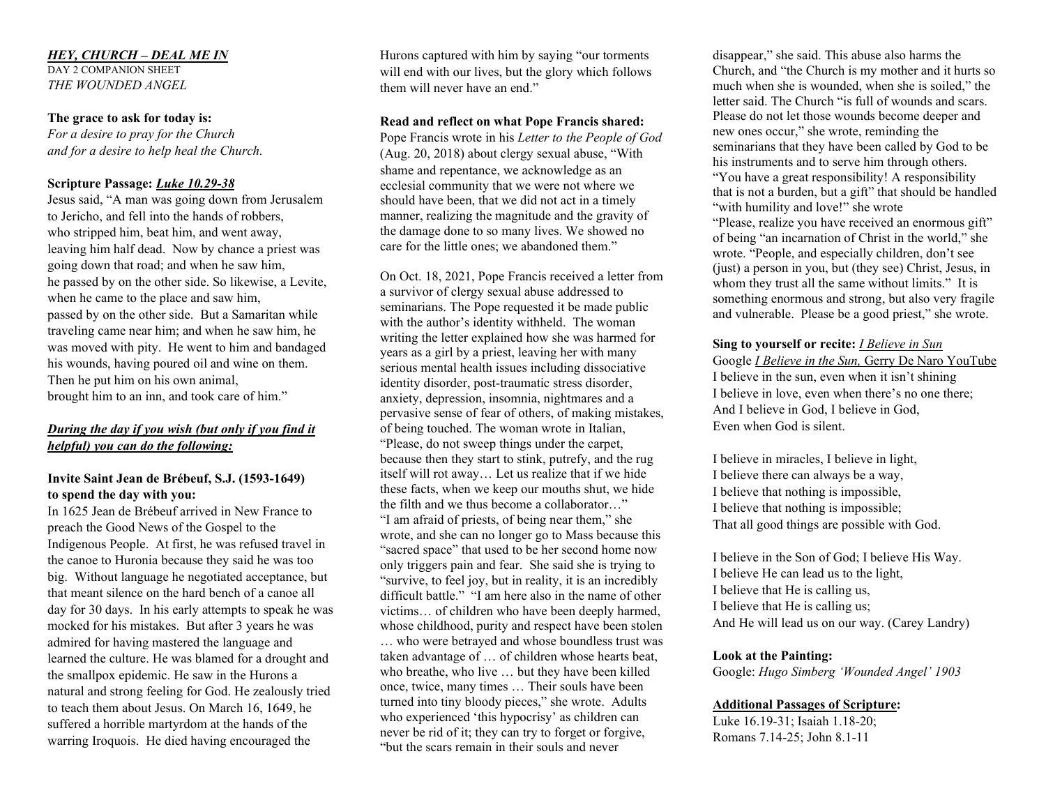## *HEY, CHURCH – DEAL ME IN*

DAY 2 COMPANION SHEET *THE WOUNDED ANGEL*

### **The grace to ask for today is:**

*For a desire to pray for the Church and for a desire to help heal the Church.*

## **Scripture Passage:** *Luke 10.29-38*

Jesus said, "A man was going down from Jerusalem to Jericho, and fell into the hands of robbers, who stripped him, beat him, and went away, leaving him half dead. Now by chance a priest was going down that road; and when he saw him, he passed by on the other side. So likewise, a Levite, when he came to the place and saw him, passed by on the other side. But a Samaritan while traveling came near him; and when he saw him, he was moved with pity. He went to him and bandaged his wounds, having poured oil and wine on them. Then he put him on his own animal, brought him to an inn, and took care of him."

# *During the day if you wish (but only if you find it helpful) you can do the following:*

## **Invite Saint Jean de Brébeuf, S.J. (1593-1649) to spend the day with you:**

In 1625 Jean de Brébeuf arrived in New France to preach the Good News of the Gospel to the Indigenous People. At first, he was refused travel in the canoe to Huronia because they said he was too big. Without language he negotiated acceptance, but that meant silence on the hard bench of a canoe all day for 30 days. In his early attempts to speak he was mocked for his mistakes. But after 3 years he was admired for having mastered the language and learned the culture. He was blamed for a drought and the smallpox epidemic. He saw in the Hurons a natural and strong feeling for God. He zealously tried to teach them about Jesus. On March 16, 1649, he suffered a horrible martyrdom at the hands of the warring Iroquois. He died having encouraged the

Hurons captured with him by saying "our torments will end with our lives, but the glory which follows them will never have an end."

#### **Read and reflect on what Pope Francis shared:**

Pope Francis wrote in his *Letter to the People of God* (Aug. 20, 2018) about clergy sexual abuse, "With shame and repentance, we acknowledge as an ecclesial community that we were not where we should have been, that we did not act in a timely manner, realizing the magnitude and the gravity of the damage done to so many lives. We showed no care for the little ones; we abandoned them."

On Oct. 18, 2021, Pope Francis received a letter from a survivor of clergy sexual abuse addressed to seminarians. The Pope requested it be made public with the author's identity withheld. The woman writing the letter explained how she was harmed for years as a girl by a priest, leaving her with many serious mental health issues including dissociative identity disorder, post-traumatic stress disorder, anxiety, depression, insomnia, nightmares and a pervasive sense of fear of others, of making mistakes, of being touched. The woman wrote in Italian, "Please, do not sweep things under the carpet, because then they start to stink, putrefy, and the rug itself will rot away… Let us realize that if we hide these facts, when we keep our mouths shut, we hide the filth and we thus become a collaborator…" "I am afraid of priests, of being near them," she wrote, and she can no longer go to Mass because this "sacred space" that used to be her second home now only triggers pain and fear. She said she is trying to "survive, to feel joy, but in reality, it is an incredibly difficult battle." "I am here also in the name of other victims… of children who have been deeply harmed, whose childhood, purity and respect have been stolen … who were betrayed and whose boundless trust was taken advantage of … of children whose hearts beat, who breathe, who live … but they have been killed once, twice, many times … Their souls have been turned into tiny bloody pieces," she wrote. Adults who experienced 'this hypocrisy' as children can never be rid of it; they can try to forget or forgive, "but the scars remain in their souls and never

disappear," she said. This abuse also harms the Church, and "the Church is my mother and it hurts so much when she is wounded, when she is soiled," the letter said. The Church "is full of wounds and scars. Please do not let those wounds become deeper and new ones occur," she wrote, reminding the seminarians that they have been called by God to be his instruments and to serve him through others. "You have a great responsibility! A responsibility that is not a burden, but a gift" that should be handled "with humility and love!" she wrote "Please, realize you have received an enormous gift" of being "an incarnation of Christ in the world," she wrote. "People, and especially children, don't see (just) a person in you, but (they see) Christ, Jesus, in whom they trust all the same without limits." It is something enormous and strong, but also very fragile and vulnerable. Please be a good priest," she wrote.

# **Sing to yourself or recite:** *I Believe in Sun* Google *I Believe in the Sun,* Gerry De Naro YouTube I believe in the sun, even when it isn't shining I believe in love, even when there's no one there; And I believe in God, I believe in God, Even when God is silent.

I believe in miracles, I believe in light, I believe there can always be a way, I believe that nothing is impossible, I believe that nothing is impossible; That all good things are possible with God.

I believe in the Son of God; I believe His Way. I believe He can lead us to the light, I believe that He is calling us, I believe that He is calling us; And He will lead us on our way. (Carey Landry)

## **Look at the Painting:**

Google: *Hugo Simberg 'Wounded Angel' 1903* 

# **Additional Passages of Scripture:**

Luke 16.19-31; Isaiah 1.18-20; Romans 7.14-25; John 8.1-11